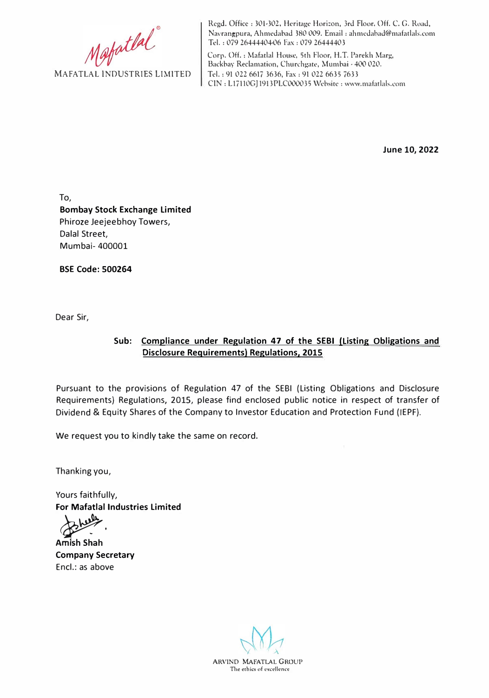Mafatlal<sup>®</sup>

Regd. Office: 301-302, Heritage Horizon, 3rd Floor, Off. C. G. Road, Navrangpura, Ahmedabad 380 009. Email : ahmedahad@mafatlals.com Tel. 1 079 26444404-06 Fax : 079 26444403

Corp. Off. : Mafatlal House, 5th Floor, H.T. Parekh Marg, Backbay Reclamation, Churchgate, Mumbai· 400 020. Tel.: 91 022 6617 3636, Fax: 91 022 6635 7633 CIN: Ll7110GJ1913PLC000035 Website: ww<sup>w</sup> .mafatlals.com

**June 10, 2022** 

To, **Bombay Stock Exchange Limited**  Phiroze Jeejeebhoy Towers, Dalal Street, Mumbai- 400001

**BSE Code: 500264** 

Dear Sir,

## **Sub: Compliance under Regulation 47 of the SEBI (listing Obligations and Disclosure Requirements) Regulations, 2015**

Pursuant to the provisions of Regulation 47 of the SEBI (Listing Obligations and Disclosure Requirements) Regulations, 2015, please find enclosed public notice in respect of transfer of Dividend & Equity Shares of the Company to Investor Education and Protection Fund (IEPF).

We request you to kindly take the same on record.

Thanking you,

Yours faithfully, **For Mafatlal Industries Limited** 

**Amish Shah Company Secretary**  Encl.: as above

**ARVIND MAFATLAL GROUP**  The ethics of excellence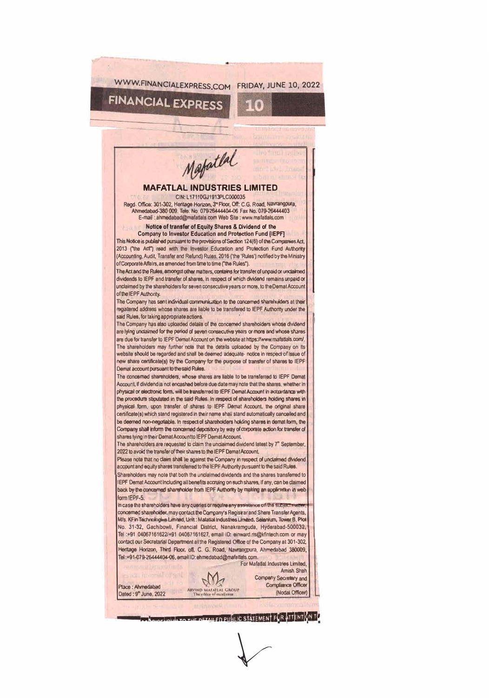